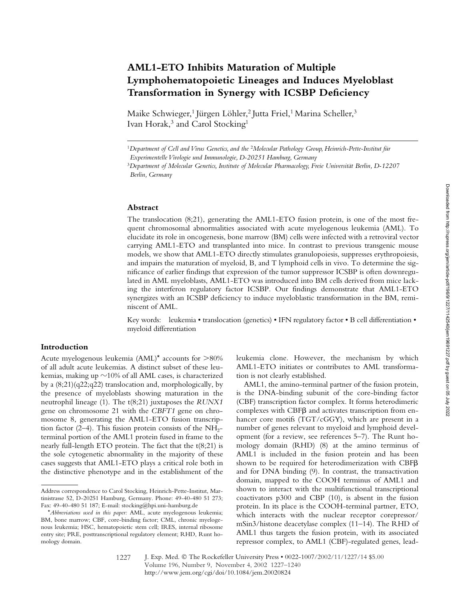# **AML1-ETO Inhibits Maturation of Multiple Lymphohematopoietic Lineages and Induces Myeloblast Transformation in Synergy with ICSBP Deficiency**

Maike Schwieger,<sup>1</sup> Jürgen Löhler,<sup>2</sup> Jutta Friel,<sup>1</sup> Marina Scheller,<sup>3</sup> Ivan Horak,<sup>3</sup> and Carol Stocking<sup>1</sup>

#### **Abstract**

The translocation (8;21), generating the AML1-ETO fusion protein, is one of the most frequent chromosomal abnormalities associated with acute myelogenous leukemia (AML). To elucidate its role in oncogenesis, bone marrow (BM) cells were infected with a retroviral vector carrying AML1-ETO and transplanted into mice. In contrast to previous transgenic mouse models, we show that AML1-ETO directly stimulates granulopoiesis, suppresses erythropoiesis, and impairs the maturation of myeloid, B, and T lymphoid cells in vivo. To determine the significance of earlier findings that expression of the tumor suppressor ICSBP is often downregulated in AML myeloblasts, AML1-ETO was introduced into BM cells derived from mice lacking the interferon regulatory factor ICSBP. Our findings demonstrate that AML1-ETO synergizes with an ICSBP deficiency to induce myeloblastic transformation in the BM, reminiscent of AML.

Key words: leukemia • translocation (genetics) • IFN regulatory factor • B cell differentiation • myeloid differentiation

# **Introduction**

Acute myelogenous leukemia  $(AML)^*$  accounts for  $>80\%$ of all adult acute leukemias. A distinct subset of these leukemias, making up  ${\sim}10\%$  of all AML cases, is characterized by a (8;21)(q22;q22) translocation and, morphologically, by the presence of myeloblasts showing maturation in the neutrophil lineage (1). The t(8;21) juxtaposes the *RUNX1* gene on chromosome 21 with the *CBFT1* gene on chromosome 8, generating the AML1-ETO fusion transcription factor  $(2-4)$ . This fusion protein consists of the NH<sub>2</sub>terminal portion of the AML1 protein fused in frame to the nearly full-length ETO protein. The fact that the t(8;21) is the sole cytogenetic abnormality in the majority of these cases suggests that AML1-ETO plays a critical role both in the distinctive phenotype and in the establishment of the leukemia clone. However, the mechanism by which AML1-ETO initiates or contributes to AML transformation is not clearly established.

AML1, the amino-terminal partner of the fusion protein, is the DNA-binding subunit of the core-binding factor (CBF) transcription factor complex. It forms heterodimeric complexes with  $CBF\beta$  and activates transcription from enhancer core motifs (TGT/cGGY), which are present in a number of genes relevant to myeloid and lymphoid development (for a review, see references 5–7). The Runt homology domain (RHD) (8) at the amino terminus of AML1 is included in the fusion protein and has been shown to be required for heterodimerization with CBFB and for DNA binding (9). In contrast, the transactivation domain, mapped to the COOH terminus of AML1 and shown to interact with the multifunctional transcriptional coactivators p300 and CBP (10), is absent in the fusion protein. In its place is the COOH-terminal partner, ETO, which interacts with the nuclear receptor corepressor/ mSin3/histone deacetylase complex (11–14). The RHD of AML1 thus targets the fusion protein, with its associated repressor complex, to AML1 (CBF)-regulated genes, lead-

<sup>1</sup>*Department of Cell and Virus Genetics, and the* <sup>2</sup>*Molecular Pathology Group, Heinrich-Pette-Institut für* 

*Experimentelle Virologie und Immunologie, D-20251 Hamburg, Germany*

<sup>3</sup>*Department of Molecular Genetics, Institute of Molecular Pharmacology, Freie Universität Berlin, D-12207 Berlin, Germany*

Address correspondence to Carol Stocking, Heinrich-Pette-Institut, Martinistrasse 52, D-20251 Hamburg, Germany. Phone: 49-40-480 51 273; Fax: 49-40-480 51 187; E-mail: stocking@hpi.uni-hamburg.de

<sup>\*</sup>*Abbreviations used in this paper:* AML, acute myelogenous leukemia; BM, bone marrow; CBF, core-binding factor; CML, chronic myelogenous leukemia; HSC, hematopoietic stem cell; IRES, internal ribosome entry site; PRE, posttranscriptional regulatory element; RHD, Runt homology domain.

<sup>1227</sup>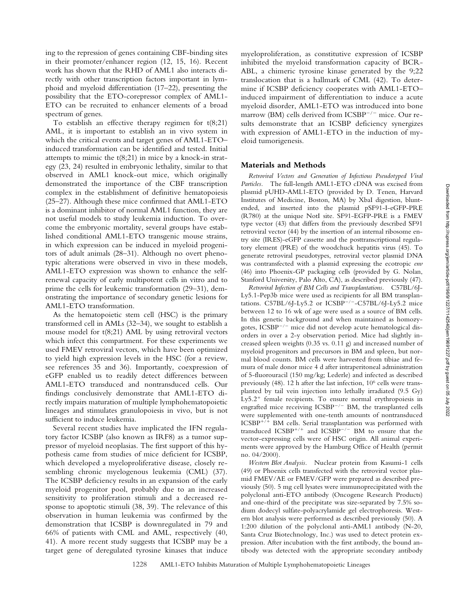ing to the repression of genes containing CBF-binding sites in their promoter/enhancer region (12, 15, 16). Recent work has shown that the RHD of AML1 also interacts directly with other transcription factors important in lymphoid and myeloid differentiation (17–22), presenting the possibility that the ETO-corepressor complex of AML1- ETO can be recruited to enhancer elements of a broad spectrum of genes.

To establish an effective therapy regimen for  $t(8;21)$ AML, it is important to establish an in vivo system in which the critical events and target genes of AML1-ETO– induced transformation can be identified and tested. Initial attempts to mimic the  $t(8;21)$  in mice by a knock-in strategy (23, 24) resulted in embryonic lethality, similar to that observed in AML1 knock-out mice, which originally demonstrated the importance of the CBF transcription complex in the establishment of definitive hematopoiesis (25–27). Although these mice confirmed that AML1-ETO is a dominant inhibitor of normal AML1 function, they are not useful models to study leukemia induction. To overcome the embryonic mortality, several groups have established conditional AML1-ETO transgenic mouse strains, in which expression can be induced in myeloid progenitors of adult animals (28–31). Although no overt phenotypic alterations were observed in vivo in these models, AML1-ETO expression was shown to enhance the selfrenewal capacity of early multipotent cells in vitro and to prime the cells for leukemic transformation (29–31), demonstrating the importance of secondary genetic lesions for AML1-ETO transformation.

As the hematopoietic stem cell (HSC) is the primary transformed cell in AMLs (32–34), we sought to establish a mouse model for t(8;21) AML by using retroviral vectors which infect this compartment. For these experiments we used FMEV retroviral vectors, which have been optimized to yield high expression levels in the HSC (for a review, see references 35 and 36). Importantly, coexpression of eGFP enabled us to readily detect differences between AML1-ETO transduced and nontransduced cells. Our findings conclusively demonstrate that AML1-ETO directly impairs maturation of multiple lymphohematopoietic lineages and stimulates granulopoiesis in vivo, but is not sufficient to induce leukemia.

Several recent studies have implicated the IFN regulatory factor ICSBP (also known as IRF8) as a tumor suppressor of myeloid neoplasias. The first support of this hypothesis came from studies of mice deficient for ICSBP, which developed a myeloproliferative disease, closely resembling chronic myelogenous leukemia (CML) (37). The ICSBP deficiency results in an expansion of the early myeloid progenitor pool, probably due to an increased sensitivity to proliferation stimuli and a decreased response to apoptotic stimuli (38, 39). The relevance of this observation in human leukemia was confirmed by the demonstration that ICSBP is downregulated in 79 and 66% of patients with CML and AML, respectively (40, 41). A more recent study suggests that ICSBP may be a target gene of deregulated tyrosine kinases that induce

myeloproliferation, as constitutive expression of ICSBP inhibited the myeloid transformation capacity of BCR-ABL, a chimeric tyrosine kinase generated by the 9;22 translocation that is a hallmark of CML (42). To determine if ICSBP deficiency cooperates with AML1-ETO– induced impairment of differentiation to induce a acute myeloid disorder, AML1-ETO was introduced into bone marrow (BM) cells derived from ICSBP<sup>-/-</sup> mice. Our results demonstrate that an ICSBP deficiency synergizes with expression of AML1-ETO in the induction of myeloid tumorigenesis.

#### **Materials and Methods**

*Retroviral Vectors and Generation of Infectious Pseudotyped Viral Particles.* The full-length AML1-ETO cDNA was excised from plasmid pUHD-AML1-ETO (provided by D. Tenen, Harvard Institutes of Medicine, Boston, MA) by XbaI digestion, bluntended, and inserted into the plasmid pSF91-I-eGFP-PRE (R780) at the unique NotI site. SF91-EGFP-PRE is a FMEV type vector (43) that differs from the previously described SF91 retroviral vector (44) by the insertion of an internal ribosome entry site (IRES)-eGFP cassette and the posttranscriptional regulatory element (PRE) of the woodchuck hepatitis virus (45). To generate retroviral pseudotypes, retroviral vector plasmid DNA was contransfected with a plasmid expressing the ecotropic *env* (46) into Phoenix-GP packaging cells (provided by G. Nolan, Stanford University, Palo Alto, CA), as described previously (47).

*Retroviral Infection of BM Cells and Transplantations.* C57BL/6J-Ly5.1-Pep3b mice were used as recipients for all BM transplantations.  $C57BL/6J-Ly5.2$  or  $ICSBP^{-/-}-C57BL/6J-Ly5.2$  mice between 12 to 16 wk of age were used as a source of BM cells. In this genetic background and when maintained as homozygotes, ICSBP<sup>-/-</sup> mice did not develop acute hematological disorders in over a 2-y observation period. Mice had slightly increased spleen weights (0.35 vs. 0.11 g) and increased number of myeloid progenitors and precursors in BM and spleen, but normal blood counts. BM cells were harvested from tibiae and femura of male donor mice 4 d after intraperitoneal administration of 5-fluorouracil (150 mg/kg; Lederle) and infected as described previously (48). 12 h after the last infection, 106 cells were transplanted by tail vein injection into lethally irradiated (9.5 Gy)  $Ly5.2<sup>+</sup>$  female recipients. To ensure normal erythropoiesis in engrafted mice receiving  $\text{ICSBP}^{-/-}$  BM, the transplanted cells were supplemented with one-tenth amounts of nontransduced  $ICSBP^{+/+}$  BM cells. Serial transplantation was performed with transduced ICSBP<sup>+/+</sup> and ICSBP<sup>-/-</sup> BM to ensure that the vector-expressing cells were of HSC origin. All animal experiments were approved by the Hamburg Office of Health (permit no. 04/2000).

*Western Blot Analysis.* Nuclear protein from Kasumi-1 cells (49) or Phoenix cells transfected with the retroviral vector plasmid FMEV/AE or FMEV/GFP were prepared as described previously (50). 5 mg cell lysates were immunoprecipitated with the polyclonal anti-ETO antibody (Oncogene Research Products) and one-third of the precipitate was size-separated by 7.5% sodium dodecyl sulfate-polyacrylamide gel electrophoresis. Western blot analysis were performed as described previously (50). A 1:200 dilution of the polyclonal anti-AML1 antibody (N-20, Santa Cruz Biotechnology, Inc.) was used to detect protein expression. After incubation with the first antibody, the bound antibody was detected with the appropriate secondary antibody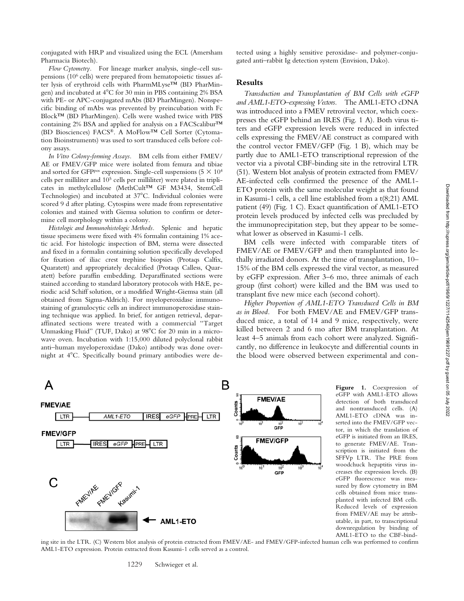conjugated with HRP and visualized using the ECL (Amersham Pharmacia Biotech).

#### *Flow Cytometry.* For lineage marker analysis, single-cell suspensions (106 cells) were prepared from hematopoietic tissues after lysis of erythroid cells with PharmMLyse™ (BD PharMingen) and incubated at 4°C for 30 min in PBS containing 2% BSA with PE- or APC-conjugated mAbs (BD PharMingen). Nonspecific binding of mAbs was prevented by preincubation with Fc Block™ (BD PharMingen). Cells were washed twice with PBS containing 2% BSA and applied for analysis on a FACScalibur™ (BD Biosciences) FACS®. A MoFlow™ Cell Sorter (Cytomation Bioinstruments) was used to sort transduced cells before colony assays.

*In Vitro Colony-forming Assays.* BM cells from either FMEV/ AE or FMEV/GFP mice were isolated from femura and tibiae and sorted for GFP<sup>pos</sup> expression. Single-cell suspensions  $(5 \times 10^4$ cells per milliliter and 105 cells per milliliter) were plated in triplicates in methylcellulose (MethCult™ GF M3434, StemCell Technologies) and incubated at 37°C. Individual colonies were scored 9 d after plating. Cytospins were made from representative colonies and stained with Giemsa solution to confirm or determine cell morphology within a colony.

*Histologic and Immunohistologic Methods.* Splenic and hepatic tissue specimens were fixed with 4% formalin containing 1% acetic acid. For histologic inspection of BM, sterna were dissected and fixed in a formalin containing solution specifically developed for fixation of iliac crest trephine biopsies (Protaqs Calfix, Quaratett) and appropriately decalcified (Protaqs Calless, Quaratett) before paraffin embedding. Deparaffinated sections were stained according to standard laboratory protocols with H&E, periodic acid Schiff solution, or a modified Wright-Giemsa stain (all obtained from Sigma-Aldrich). For myeloperoxidase immunostaining of granulocytic cells an indirect immunoperoxidase staining technique was applied. In brief, for antigen retrieval, deparaffinated sections were treated with a commercial "Target Unmasking Fluid" (TUF, Dako) at 98°C for 20 min in a microwave oven. Incubation with 1:15,000 diluted polyclonal rabbit anti–human myeloperoxidase (Dako) antibody was done overnight at 4C. Specifically bound primary antibodies were detected using a highly sensitive peroxidase- and polymer-conjugated anti–rabbit Ig detection system (Envision, Dako).

## **Results**

*Transduction and Transplantation of BM Cells with eGFP and AML1-ETO–expressing Vectors.* The AML1-ETO cDNA was introduced into a FMEV retroviral vector, which coexpresses the eGFP behind an IRES (Fig. 1 A). Both virus titers and eGFP expression levels were reduced in infected cells expressing the FMEV/AE construct as compared with the control vector FMEV/GFP (Fig. 1 B), which may be partly due to AML1-ETO transcriptional repression of the vector via a pivotal CBF-binding site in the retroviral LTR (51). Western blot analysis of protein extracted from FMEV/ AE-infected cells confirmed the presence of the AML1- ETO protein with the same molecular weight as that found in Kasumi-1 cells, a cell line established from a t(8;21) AML patient (49) (Fig. 1 C). Exact quantification of AML1-ETO protein levels produced by infected cells was precluded by the immunoprecipitation step, but they appear to be somewhat lower as observed in Kasumi-1 cells.

BM cells were infected with comparable titers of FMEV/AE or FMEV/GFP and then transplanted into lethally irradiated donors. At the time of transplantation, 10– 15% of the BM cells expressed the viral vector, as measured by eGFP expression. After 3–6 mo, three animals of each group (first cohort) were killed and the BM was used to transplant five new mice each (second cohort).

*Higher Proportion of AML1-ETO Transduced Cells in BM as in Blood.* For both FMEV/AE and FMEV/GFP transduced mice, a total of 14 and 9 mice, respectively, were killed between 2 and 6 mo after BM transplantation. At least 4–5 animals from each cohort were analyzed. Significantly, no difference in leukocyte and differential counts in the blood were observed between experimental and con-



**Figure 1.** Coexpression of eGFP with AML1-ETO allows detection of both transduced and nontransduced cells. (A) AML1-ETO cDNA was inserted into the FMEV/GFP vector, in which the translation of eGFP is initiated from an IRES, to generate FMEV/AE. Transcription is initiated from the SFFVp LTR. The PRE from woodchuck hepaptitis virus increases the expression levels. (B) eGFP fluorescence was measured by flow cytometry in BM cells obtained from mice transplanted with infected BM cells. Reduced levels of expression from FMEV/AE may be attributable, in part, to transcriptional downregulation by binding of AML1-ETO to the CBF-bind-

ing site in the LTR. (C) Western blot analysis of protein extracted from FMEV/AE- and FMEV/GFP-infected human cells was performed to confirm AML1-ETO expression. Protein extracted from Kasumi-1 cells served as a control.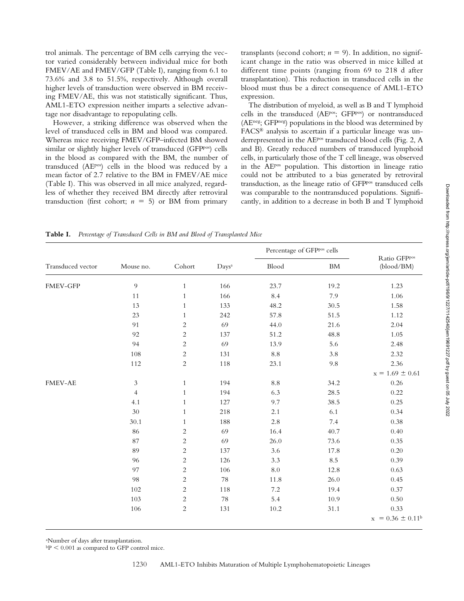trol animals. The percentage of BM cells carrying the vector varied considerably between individual mice for both FMEV/AE and FMEV/GFP (Table I), ranging from 6.1 to 73.6% and 3.8 to 51.5%, respectively. Although overall higher levels of transduction were observed in BM receiving FMEV/AE, this was not statistically significant. Thus, AML1-ETO expression neither imparts a selective advantage nor disadvantage to repopulating cells.

However, a striking difference was observed when the level of transduced cells in BM and blood was compared. Whereas mice receiving FMEV/GFP–infected BM showed similar or slightly higher levels of transduced (GFPpos) cells in the blood as compared with the BM, the number of transduced (AEpos) cells in the blood was reduced by a mean factor of 2.7 relative to the BM in FMEV/AE mice (Table I). This was observed in all mice analyzed, regardless of whether they received BM directly after retroviral transduction (first cohort;  $n = 5$ ) or BM from primary

transplants (second cohort;  $n = 9$ ). In addition, no significant change in the ratio was observed in mice killed at different time points (ranging from 69 to 218 d after transplantation). This reduction in transduced cells in the blood must thus be a direct consequence of AML1-ETO expression.

The distribution of myeloid, as well as B and T lymphoid cells in the transduced (AEpos; GFPpos) or nontransduced (AEneg; GFPneg) populations in the blood was determined by FACS® analysis to ascertain if a particular lineage was underrepresented in the AEpos transduced blood cells (Fig. 2, A and B). Greatly reduced numbers of transduced lymphoid cells, in particularly those of the T cell lineage, was observed in the AEpos population. This distortion in lineage ratio could not be attributed to a bias generated by retroviral transduction, as the lineage ratio of GFPpos transduced cells was comparable to the nontransduced populations. Significantly, in addition to a decrease in both B and T lymphoid

**Table I.** *Percentage of Transduced Cells in BM and Blood of Transplanted Mice*

| Transduced vector | Mouse no.                   | Cohort         | Days <sup>a</sup> | Percentage of GFPpos cells |         |                            |
|-------------------|-----------------------------|----------------|-------------------|----------------------------|---------|----------------------------|
|                   |                             |                |                   | Blood                      | BM      | Ratio GFPpos<br>(blood/BM) |
| FMEV-GFP          | 9                           | $\mathbf{1}$   | 166               | 23.7                       | 19.2    | 1.23                       |
|                   | $11\,$                      | $\,1\,$        | 166               | 8.4                        | 7.9     | 1.06                       |
|                   | 13                          | $\mathbf{1}$   | 133               | 48.2                       | 30.5    | 1.58                       |
|                   | 23                          | $\mathbf{1}$   | 242               | 57.8                       | 51.5    | 1.12                       |
|                   | 91                          | $\overline{c}$ | 69                | 44.0                       | 21.6    | 2.04                       |
|                   | 92                          | $\overline{c}$ | 137               | 51.2                       | 48.8    | 1.05                       |
|                   | 94                          | $\overline{c}$ | 69                | 13.9                       | 5.6     | 2.48                       |
|                   | 108                         | $\overline{c}$ | 131               | $\!\!\!\!\!8.8$            | 3.8     | 2.32                       |
|                   | 112                         | $\overline{c}$ | 118               | 23.1                       | $9.8\,$ | 2.36                       |
|                   |                             |                |                   |                            |         | $x = 1.69 \pm 0.61$        |
| <b>FMEV-AE</b>    | $\ensuremath{\mathfrak{Z}}$ | $\mathbf{1}$   | 194               | $\!\!\!\!\!8.8$            | 34.2    | 0.26                       |
|                   | $\overline{4}$              | $\mathbf{1}$   | 194               | 6.3                        | 28.5    | 0.22                       |
|                   | 4.1                         | $\mathbf{1}$   | 127               | 9.7                        | 38.5    | 0.25                       |
|                   | 30                          | $\mathbf{1}$   | 218               | $2.1\,$                    | 6.1     | 0.34                       |
|                   | 30.1                        | $\mathbf{1}$   | 188               | 2.8                        | 7.4     | 0.38                       |
|                   | 86                          | $\overline{c}$ | 69                | 16.4                       | 40.7    | 0.40                       |
|                   | 87                          | $\overline{c}$ | 69                | 26.0                       | 73.6    | 0.35                       |
|                   | 89                          | $\overline{c}$ | 137               | 3.6                        | 17.8    | 0.20                       |
|                   | 96                          | $\overline{c}$ | 126               | 3.3                        | 8.5     | 0.39                       |
|                   | 97                          | $\overline{c}$ | 106               | $8.0\,$                    | 12.8    | 0.63                       |
|                   | 98                          | $\overline{c}$ | 78                | 11.8                       | 26.0    | 0.45                       |
|                   | 102                         | $\overline{c}$ | 118               | $7.2\,$                    | 19.4    | 0.37                       |
|                   | 103                         | $\overline{c}$ | 78                | 5.4                        | 10.9    | 0.50                       |
|                   | 106                         | $\overline{c}$ | 131               | 10.2                       | 31.1    | 0.33                       |
|                   |                             |                |                   |                            |         | $x = 0.36 \pm 0.11^b$      |

a Number of days after transplantation.

 $\rm ^{b}P$   $\leq 0.001$  as compared to GFP control mice.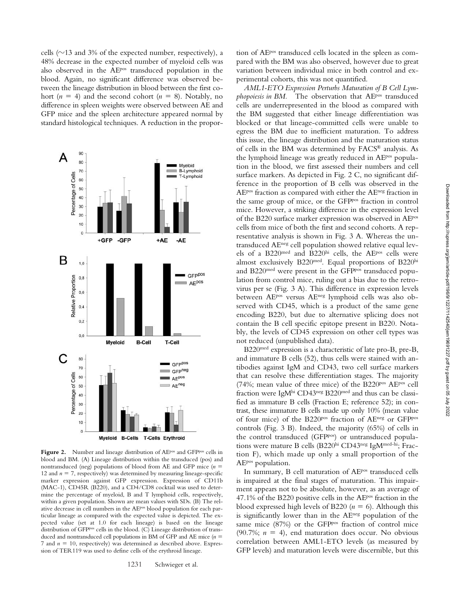cells ( $\sim$ 13 and 3% of the expected number, respectively), a 48% decrease in the expected number of myeloid cells was also observed in the AEP<sup>os</sup> transduced population in the blood. Again, no significant difference was observed between the lineage distribution in blood between the first cohort ( $n = 4$ ) and the second cohort ( $n = 8$ ). Notably, no difference in spleen weights were observed between AE and GFP mice and the spleen architecture appeared normal by standard histological techniques. A reduction in the propor-

Myeloid

B-Lymphoid

90

80

70

A

Percentage of Cells T-Lymphoid 60 50 40 30 20 10  $\overline{0}$ +GFP -GFP  $+AE$ -AE B  $1,0$ GFP<sup>pos</sup> Relative Proportion  $0,8$  $A E^{pos}$  $_{0,6}$  $0,4$  $0.2$  $0.0$ Myeloid **B-Cell T-Cell** С 80 GFPPos 70 GFP<sup>neg</sup> Percentage of Cells 60  $AE<sup>pos</sup>$ AE<sup>neg</sup> 50 40 30 20 10  $\circ$ Myeloid B-Cells T-Cells Erythroid

Figure 2. Number and lineage distribution of AEP<sup>os</sup> and GFP<sup>pos</sup> cells in blood and BM. (A) Lineage distribution within the transduced (pos) and nontransduced (neg) populations of blood from AE and GFP mice (*n* 12 and  $n = 7$ , respectively) was determined by measuring lineage-specific marker expression against GFP expression. Expression of CD11b (MAC-1), CD45R (B220), and a CD4/CD8 cocktail was used to determine the percentage of myeloid, B and T lymphoid cells, respectively, within a given population. Shown are mean values with SDs. (B) The relative decrease in cell numbers in the AEpos blood population for each particular lineage as compared with the expected value is depicted. The expected value (set at 1.0 for each lineage) is based on the lineage distribution of GFPpos cells in the blood. (C) Lineage distribution of transduced and nontransduced cell populations in BM of GFP and AE mice (*n* 7 and  $n = 10$ , respectively) was determined as described above. Expression of TER119 was used to define cells of the erythroid lineage.

tion of AEpos transduced cells located in the spleen as compared with the BM was also observed, however due to great variation between individual mice in both control and experimental cohorts, this was not quantified.

*AML1-ETO Expression Perturbs Maturation of B Cell Lym*phopoiesis in BM. The observation that AE<sup>pos</sup> transduced cells are underrepresented in the blood as compared with the BM suggested that either lineage differentiation was blocked or that lineage-committed cells were unable to egress the BM due to inefficient maturation. To address this issue, the lineage distribution and the maturation status of cells in the BM was determined by FACS® analysis. As the lymphoid lineage was greatly reduced in AE<sup>pos</sup> population in the blood, we first assessed their numbers and cell surface markers. As depicted in Fig. 2 C, no significant difference in the proportion of B cells was observed in the AEpos fraction as compared with either the AEneg fraction in the same group of mice, or the GFPpos fraction in control mice. However, a striking difference in the expression level of the B220 surface marker expression was observed in AEpos cells from mice of both the first and second cohorts. A representative analysis is shown in Fig. 3 A. Whereas the untransduced AEneg cell population showed relative equal levels of a B220med and B220hi cells, the AEpos cells were almost exclusively B220<sup>med</sup>. Equal proportions of B220<sup>hi</sup> and B220<sup>med</sup> were present in the GFP<sup>pos</sup> transduced population from control mice, ruling out a bias due to the retrovirus per se (Fig. 3 A). This difference in expression levels between AEpos versus AEneg lymphoid cells was also observed with CD45, which is a product of the same gene encoding B220, but due to alternative splicing does not contain the B cell specific epitope present in B220. Notably, the levels of CD45 expression on other cell types was not reduced (unpublished data).

B220med expression is a characteristic of late pro-B, pre-B, and immature B cells (52), thus cells were stained with antibodies against IgM and CD43, two cell surface markers that can resolve these differentiation stages. The majority (74%; mean value of three mice) of the B220pos AEpos cell fraction were IgM<sup>hi</sup> CD43<sup>neg</sup> B220<sup>med</sup> and thus can be classified as immature B cells (Fraction E; reference 52); in contrast, these immature B cells made up only 10% (mean value of four mice) of the B220pos fraction of AEneg or GFPpos controls (Fig. 3 B). Indeed, the majority (65%) of cells in the control transduced (GFPpos) or untransduced populations were mature B cells (B220hi CD43neg IgMmed-hi; Fraction F), which made up only a small proportion of the AEpos population.

In summary, B cell maturation of AEpos transduced cells is impaired at the final stages of maturation. This impairment appears not to be absolute, however, as an average of 47.1% of the B220 positive cells in the AEpos fraction in the blood expressed high levels of B220  $(n = 6)$ . Although this is significantly lower than in the AEneg population of the same mice (87%) or the GFP<sup>pos</sup> fraction of control mice (90.7%;  $n = 4$ ), end maturation does occur. No obvious correlation between AML1-ETO levels (as measured by GFP levels) and maturation levels were discernible, but this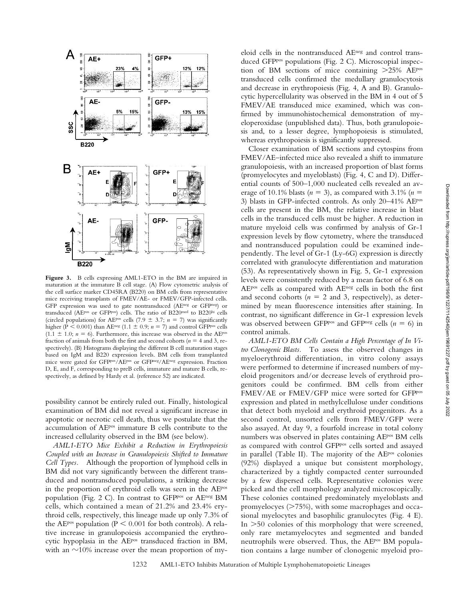

**Figure 3.** B cells expressing AML1-ETO in the BM are impaired in maturation at the immature B cell stage. (A) Flow cytometric analysis of the cell surface marker CD45RA (B220) on BM cells from representative mice receiving transplants of FMEV/AE- or FMEV/GFP-infected cells. GFP expression was used to gate nontransduced (AEneg or GFPneg) or transduced (AEpos or GFPpos) cells. The ratio of B220med to B220hi cells (circled populations) for AE<sup>pos</sup> cells (7.9  $\pm$  3.7; *n* = 7) was significantly higher ( $P < 0.001$ ) than AE<sup>neg</sup> (1.1  $\pm$  0.9; *n* = 7) and control GFP<sup>pos</sup> cells  $(1.1 \pm 1.0; n = 6)$ . Furthermore, this increase was observed in the AE<sup>pos</sup> fraction of animals from both the first and second cohorts ( $n = 4$  and 3, respectively). (B) Histograms displaying the different B cell maturation stages based on IgM and B220 expression levels. BM cells from transplanted mice were gated for GFPpos/AEpos or GFPneg/AEneg expression. Fraction D, E, and F, corresponding to preB cells, immature and mature B cells, respectively, as defined by Hardy et al. (reference 52) are indicated.

possibility cannot be entirely ruled out. Finally, histological examination of BM did not reveal a significant increase in apoptotic or necrotic cell death, thus we postulate that the accumulation of AEpos immature B cells contribute to the increased cellularity observed in the BM (see below).

*AML1-ETO Mice Exhibit a Reduction in Erythropoiesis Coupled with an Increase in Granulopoiesis Shifted to Immature Cell Types.* Although the proportion of lymphoid cells in BM did not vary significantly between the different transduced and nontransduced populations, a striking decrease in the proportion of erythroid cells was seen in the AEpos population (Fig. 2 C). In contrast to GFPpos or AEneg BM cells, which contained a mean of 21.2% and 23.4% erythroid cells, respectively, this lineage made up only 7.3% of the AE<sup>pos</sup> population ( $P \le 0.001$  for both controls). A relative increase in granulopoiesis accompanied the erythrocytic hypoplasia in the AEP<sup>os</sup> transduced fraction in BM, with an  $\sim$ 10% increase over the mean proportion of myeloid cells in the nontransduced AEneg and control transduced GFP<sup>pos</sup> populations (Fig. 2 C). Microscopial inspection of BM sections of mice containing  $>25\%$  AEPos transduced cells confirmed the medullary granulocytosis and decrease in erythropoiesis (Fig. 4, A and B). Granulocytic hypercellularity was observed in the BM in 4 out of 5 FMEV/AE transduced mice examined, which was confirmed by immunohistochemical demonstration of myeloperoxidase (unpublished data). Thus, both granulopoiesis and, to a lesser degree, lymphopoiesis is stimulated, whereas erythropoiesis is significantly suppressed.

Closer examination of BM sections and cytospins from FMEV/AE–infected mice also revealed a shift to immature granulopoiesis, with an increased proportion of blast forms (promyelocytes and myeloblasts) (Fig. 4, C and D). Differential counts of 500–1,000 nucleated cells revealed an average of 10.1% blasts  $(n = 3)$ , as compared with 3.1%  $(n = 1)$ 3) blasts in GFP-infected controls. As only 20–41% AEpos cells are present in the BM, the relative increase in blast cells in the transduced cells must be higher. A reduction in mature myeloid cells was confirmed by analysis of Gr-1 expression levels by flow cytometry, where the transduced and nontransduced population could be examined independently. The level of Gr-1 (Ly-6G) expression is directly correlated with granulocyte differentiation and maturation (53). As representatively shown in Fig. 5, Gr-1 expression levels were consistently reduced by a mean factor of 6.8 on AEpos cells as compared with AEneg cells in both the first and second cohorts ( $n = 2$  and 3, respectively), as determined by mean fluorescence intensities after staining. In contrast, no significant difference in Gr-1 expression levels was observed between GFP<sup>pos</sup> and GFP<sup>neg</sup> cells ( $n = 6$ ) in control animals.

*AML1-ETO BM Cells Contain a High Percentage of In Vitro Clonogenic Blasts.* To assess the observed changes in myeloerythroid differentiation, in vitro colony assays were performed to determine if increased numbers of myeloid progenitors and/or decrease levels of erythroid progenitors could be confirmed. BM cells from either FMEV/AE or FMEV/GFP mice were sorted for GFPpos expression and plated in methylcellulose under conditions that detect both myeloid and erythroid progenitors. As a second control, unsorted cells from FMEV/GFP were also assayed. At day 9, a fourfold increase in total colony numbers was observed in plates containing AEPOS BM cells as compared with control GFPpos cells sorted and assayed in parallel (Table II). The majority of the AEpos colonies (92%) displayed a unique but consistent morphology, characterized by a tightly compacted center surrounded by a few dispersed cells. Representative colonies were picked and the cell morphology analyzed microscopically. These colonies contained predominately myeloblasts and promyelocyes (>75%), with some macrophages and occasional myelocytes and basophilic granulocytes (Fig. 4 E). In  $>$  50 colonies of this morphology that were screened, only rare metamyelocytes and segmented and banded neutrophils were observed. Thus, the AE<sup>pos</sup> BM population contains a large number of clonogenic myeloid pro-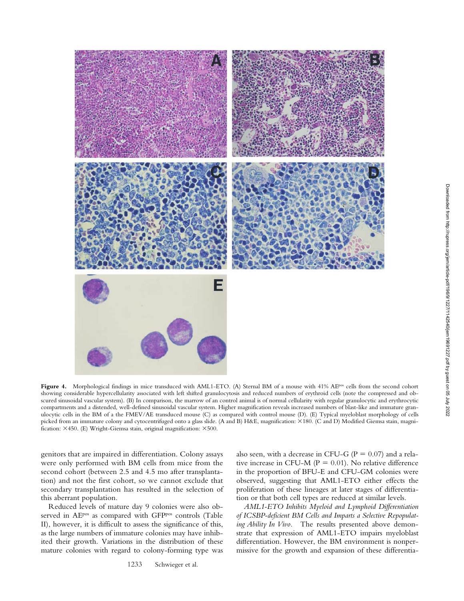

Figure 4. Morphological findings in mice transduced with AML1-ETO. (A) Sternal BM of a mouse with 41% AEP<sup>os</sup> cells from the second cohort showing considerable hypercellularity associated with left shifted granulocytosis and reduced numbers of erythroid cells (note the compressed and obscured sinusoidal vascular system). (B) In comparison, the marrow of an control animal is of normal cellularity with regular granulocytic and erythrocytic compartments and a distended, well-defined sinusoidal vascular system. Higher magnification reveals increased numbers of blast-like and immature granulocytic cells in the BM of a the FMEV/AE transduced mouse (C) as compared with control mouse (D). (E) Typical myeloblast morphology of cells picked from an immature colony and cytocentrifuged onto a glass slide. (A and B) H&E, magnification: ×180. (C and D) Modified Giemsa stain, magnification:  $\times$ 450. (E) Wright-Giemsa stain, original magnification:  $\times$ 500.

genitors that are impaired in differentiation. Colony assays were only performed with BM cells from mice from the second cohort (between 2.5 and 4.5 mo after transplantation) and not the first cohort, so we cannot exclude that secondary transplantation has resulted in the selection of this aberrant population.

Reduced levels of mature day 9 colonies were also observed in AE<sup>pos</sup> as compared with GFP<sup>pos</sup> controls (Table II), however, it is difficult to assess the significance of this, as the large numbers of immature colonies may have inhibited their growth. Variations in the distribution of these mature colonies with regard to colony-forming type was

also seen, with a decrease in CFU-G ( $P = 0.07$ ) and a relative increase in CFU-M ( $P = 0.01$ ). No relative difference in the proportion of BFU-E and CFU-GM colonies were observed, suggesting that AML1-ETO either effects the proliferation of these lineages at later stages of differentiation or that both cell types are reduced at similar levels.

*AML1-ETO Inhibits Myeloid and Lymphoid Differentiation of ICSBP-deficient BM Cells and Imparts a Selective Repopulating Ability In Vivo.* The results presented above demonstrate that expression of AML1-ETO impairs myeloblast differentiation. However, the BM environment is nonpermissive for the growth and expansion of these differentia-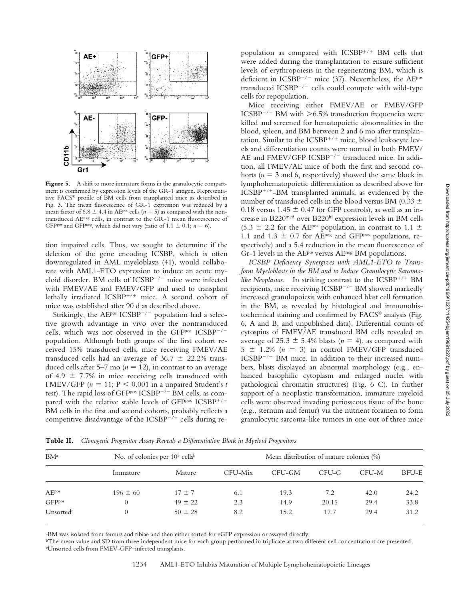

Figure 5. A shift to more immature forms in the granulocytic compartment is confirmed by expression levels of the GR-1 antigen. Representative FACS® profile of BM cells from transplanted mice as described in Fig. 3. The mean fluorescence of GR-1 expression was reduced by a mean factor of 6.8  $\pm$  4.4 in AE<sup>pos</sup> cells ( $n = 5$ ) as compared with the nontransduced AEneg cells, in contrast to the GR-1 mean fluorescence of GFP<sup>pos</sup> and GFP<sup>neg</sup>, which did not vary (ratio of 1.1  $\pm$  0.1; *n* = 6).

tion impaired cells. Thus, we sought to determine if the deletion of the gene encoding ICSBP, which is often downregulated in AML myeloblasts (41), would collaborate with AML1-ETO expression to induce an acute myeloid disorder. BM cells of ICSBP<sup>-/-</sup> mice were infected with FMEV/AE and FMEV/GFP and used to transplant lethally irradiated ICSBP<sup>+/+</sup> mice. A second cohort of mice was established after 90 d as described above.

Strikingly, the AE<sup>pos</sup> ICSBP<sup> $-/-$ </sup> population had a selective growth advantage in vivo over the nontransduced cells, which was not observed in the GFPpos  $ICSBP^{-/-}$ population. Although both groups of the first cohort received 15% transduced cells, mice receiving FMEV/AE transduced cells had an average of  $36.7 \pm 22.2\%$  transduced cells after 5–7 mo  $(n = 12)$ , in contrast to an average of 4.9  $\pm$  7.7% in mice receiving cells transduced with FMEV/GFP  $(n = 11; P < 0.001$  in a unpaired Student's *t* test). The rapid loss of GFP<sup>pos</sup> ICSBP<sup>-/-</sup> BM cells, as compared with the relative stable levels of GFPpos  $ICSBP^{+/+}$ BM cells in the first and second cohorts, probably reflects a competitive disadvantage of the  $ICSBP^{-/-}$  cells during re-

population as compared with  $ICSBP^{+/+}$  BM cells that were added during the transplantation to ensure sufficient levels of erythropoiesis in the regenerating BM, which is deficient in ICSBP<sup>-/-</sup> mice (37). Nevertheless, the AE<sup>pos</sup> transduced ICSBP $^{-/-}$  cells could compete with wild-type cells for repopulation.

Mice receiving either FMEV/AE or FMEV/GFP  $\text{ICSBP}^{-/-}$  BM with  $\geq 6.5\%$  transduction frequencies were killed and screened for hematopoietic abnormalities in the blood, spleen, and BM between 2 and 6 mo after transplantation. Similar to the  $ICSBP^{+/+}$  mice, blood leukocyte levels and differentiation counts were normal in both FMEV/ AE and FMEV/GFP ICSBP<sup>-/-</sup> transduced mice. In addition, all FMEV/AE mice of both the first and second cohorts  $(n = 3$  and 6, respectively) showed the same block in lymphohematopoietic differentiation as described above for  $ICSBP^{+/+}-BM$  transplanted animals, as evidenced by the number of transduced cells in the blood versus BM (0.33  $\pm$ 0.18 versus 1.45  $\pm$  0.47 for GFP controls), as well as an increase in B220med over B220hi expression levels in BM cells  $(5.3 \pm 2.2$  for the AE<sup>pos</sup> population, in contrast to 1.1  $\pm$ 1.1 and 1.3  $\pm$  0.7 for AEneg and GFPpos populations, respectively) and a 5.4 reduction in the mean fluorescence of Gr-1 levels in the AEpos versus AEneg BM populations.

*ICSBP Deficiency Synergizes with AML1-ETO to Transform Myeloblasts in the BM and to Induce Granulocytic Sarcoma*like Neoplasias. In striking contrast to the ICSBP<sup>+/+</sup> BM recipients, mice receiving ICSBP<sup>-/-</sup> BM showed markedly increased granulopoiesis with enhanced blast cell formation in the BM, as revealed by histological and immunohistochemical staining and confirmed by FACS® analysis (Fig. 6, A and B, and unpublished data). Differential counts of cytospins of FMEV/AE transduced BM cells revealed an average of 25.3  $\pm$  5.4% blasts ( $n = 4$ ), as compared with  $5 \pm 1.2\%$  ( $n = 3$ ) in control FMEV/GFP transduced  $ICSBP^{-/-}$  BM mice. In addition to their increased numbers, blasts displayed an abnormal morphology (e.g., enhanced basophilic cytoplasm and enlarged nuclei with pathological chromatin structures) (Fig. 6 C). In further support of a neoplastic transformation, immature myeloid cells were observed invading periosseous tissue of the bone (e.g., sternum and femur) via the nutrient foramen to form granulocytic sarcoma-like tumors in one out of three mice

BM<sup>a</sup> No. of colonies per 10<sup>5</sup> cells<sup>b</sup> Mean distribution of mature colonies (%) Immature Mature CFU-Mix CFU-GM CFU-G CFU-M BFU-E  $A E^{pos}$  196  $\pm 60$  17  $\pm 7$  6.1 19.3 7.2 42.0 24.2 GFP<sup>pos</sup> 0 49 ± 22 2.3 14.9 20.15 29.4 33.8 Unsorted<sup>c</sup> 0 50  $\pm 28$  8.2 15.2 17.7 29.4 31.2

**Table II.** *Clonogenic Progenitor Assay Reveals a Differentiation Block in Myeloid Progenitors*

a BM was isolated from femurs and tibiae and then either sorted for eGFP expression or assayed directly.

bThe mean value and SD from three independent mice for each group performed in triplicate at two different cell concentrations are presented. c Unsorted cells from FMEV-GFP–infected transplants.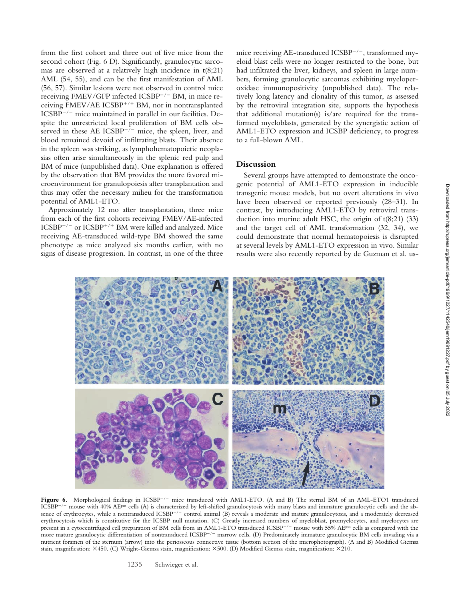from the first cohort and three out of five mice from the second cohort (Fig. 6 D). Significantly, granulocytic sarcomas are observed at a relatively high incidence in  $t(8;21)$ AML (54, 55), and can be the first manifestation of AML (56, 57). Similar lesions were not observed in control mice receiving FMEV/GFP infected ICSBP<sup>-/-</sup> BM, in mice receiving FMEV/AE ICSBP<sup>+/+</sup> BM, nor in nontransplanted  $ICSBP^{-/-}$  mice maintained in parallel in our facilities. Despite the unrestricted local proliferation of BM cells observed in these AE ICSBP $^{-/-}$  mice, the spleen, liver, and blood remained devoid of infiltrating blasts. Their absence in the spleen was striking, as lymphohematopoietic neoplasias often arise simultaneously in the splenic red pulp and BM of mice (unpublished data). One explanation is offered by the observation that BM provides the more favored microenvironment for granulopoiesis after transplantation and thus may offer the necessary milieu for the transformation potential of AML1-ETO.

Approximately 12 mo after transplantation, three mice from each of the first cohorts receiving FMEV/AE-infected  $ICSBP^{-/-}$  or  $ICSBP^{+/+}$  BM were killed and analyzed. Mice receiving AE-transduced wild-type BM showed the same phenotype as mice analyzed six months earlier, with no signs of disease progression. In contrast, in one of the three

mice receiving AE-transduced ICSBP $^{-/-}$ , transformed myeloid blast cells were no longer restricted to the bone, but had infiltrated the liver, kidneys, and spleen in large numbers, forming granulocytic sarcomas exhibiting myeloperoxidase immunopositivity (unpublished data). The relatively long latency and clonality of this tumor, as assessed by the retroviral integration site, supports the hypothesis that additional mutation(s) is/are required for the transformed myeloblasts, generated by the synergistic action of AML1-ETO expression and ICSBP deficiency, to progress to a full-blown AML.

## **Discussion**

Several groups have attempted to demonstrate the oncogenic potential of AML1-ETO expression in inducible transgenic mouse models, but no overt alterations in vivo have been observed or reported previously (28–31). In contrast, by introducing AML1-ETO by retroviral transduction into murine adult HSC, the origin of  $t(8;21)$  (33) and the target cell of AML transformation (32, 34), we could demonstrate that normal hematopoiesis is disrupted at several levels by AML1-ETO expression in vivo. Similar results were also recently reported by de Guzman et al. us-



Figure 6. Morphological findings in ICSBP<sup>-/-</sup> mice transduced with AML1-ETO. (A and B) The sternal BM of an AML-ETO1 transduced  $ICSBP^{-/-}$  mouse with 40% AEP<sup>os</sup> cells (A) is characterized by left-shifted granulocytosis with many blasts and immature granulocytic cells and the absence of erythrocytes, while a nontransduced ICSBP-/- control animal (B) reveals a moderate and mature granulocytosis, and a moderately decreased erythrocytosis which is constitutive for the ICSBP null mutation. (C) Greatly increased numbers of myeloblast, promyelocytes, and myelocytes are present in a cytocentrifuged cell preparation of BM cells from an AML1-ETO transduced ICSBP<sup>-/-</sup> mouse with 55% AE<sup>pos</sup> cells as compared with the more mature granulocytic differentiation of nontransduced ICSBP<sup>-/-</sup> marrow cells. (D) Predominately immature granulocytic BM cells invading via a nutrient foramen of the sternum (arrow) into the periosseous connective tissue (bottom section of the microphotograph). (A and B) Modified Giemsa stain, magnification:  $\times$ 450. (C) Wright-Giemsa stain, magnification:  $\times$ 500. (D) Modified Giemsa stain, magnification:  $\times$ 210.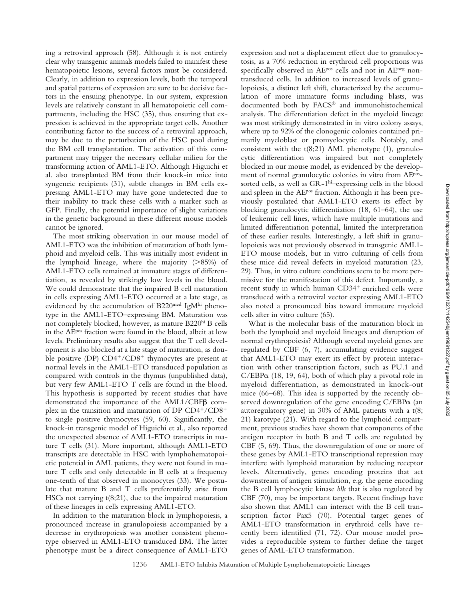ing a retroviral approach (58). Although it is not entirely clear why transgenic animals models failed to manifest these hematopoietic lesions, several factors must be considered. Clearly, in addition to expression levels, both the temporal and spatial patterns of expression are sure to be decisive factors in the ensuing phenotype. In our system, expression levels are relatively constant in all hematopoietic cell compartments, including the HSC (35), thus ensuring that expression is achieved in the appropriate target cells. Another contributing factor to the success of a retroviral approach, may be due to the perturbation of the HSC pool during the BM cell transplantation. The activation of this compartment may trigger the necessary cellular milieu for the transforming action of AML1-ETO. Although Higuichi et al. also transplanted BM from their knock-in mice into syngeneic recipients (31), subtle changes in BM cells expressing AML1-ETO may have gone undetected due to their inability to track these cells with a marker such as GFP. Finally, the potential importance of slight variations in the genetic background in these different mouse models cannot be ignored.

The most striking observation in our mouse model of AML1-ETO was the inhibition of maturation of both lymphoid and myeloid cells. This was initially most evident in the lymphoid lineage, where the majority (>85%) of AML1-ETO cells remained at immature stages of differentiation, as revealed by strikingly low levels in the blood. We could demonstrate that the impaired B cell maturation in cells expressing AML1-ETO occurred at a late stage, as evidenced by the accumulation of  $B220<sup>med</sup>$  IgM<sup>hi</sup> phenotype in the AML1-ETO–expressing BM. Maturation was not completely blocked, however, as mature B220hi B cells in the AEpos fraction were found in the blood, albeit at low levels. Preliminary results also suggest that the T cell development is also blocked at a late stage of maturation, as double positive (DP)  $CD4^+/CD8^+$  thymocytes are present at normal levels in the AML1-ETO transduced population as compared with controls in the thymus (unpublished data), but very few AML1-ETO T cells are found in the blood. This hypothesis is supported by recent studies that have demonstrated the importance of the  $AML1/CBF\beta$  complex in the transition and maturation of DP  $CD4^+/CD8^+$ to single positive thymocytes (59, 60). Significantly, the knock-in transgenic model of Higuichi et al., also reported the unexpected absence of AML1-ETO transcripts in mature T cells (31). More important, although AML1-ETO transcripts are detectable in HSC with lymphohematopoietic potential in AML patients, they were not found in mature T cells and only detectable in B cells at a frequency one-tenth of that observed in monocytes (33). We postulate that mature B and T cells preferentially arise from HSCs not carrying t(8;21), due to the impaired maturation of these lineages in cells expressing AML1-ETO.

In addition to the maturation block in lymphopoiesis, a pronounced increase in granulopoiesis accompanied by a decrease in erythropoiesis was another consistent phenotype observed in AML1-ETO transduced BM. The latter phenotype must be a direct consequence of AML1-ETO expression and not a displacement effect due to granulocytosis, as a 70% reduction in erythroid cell proportions was specifically observed in AEP<sup>os</sup> cells and not in AE<sup>neg</sup> nontransduced cells. In addition to increased levels of granulopoiesis, a distinct left shift, characterized by the accumulation of more immature forms including blasts, was documented both by FACS® and immunohistochemical analysis. The differentiation defect in the myeloid lineage was most strikingly demonstrated in in vitro colony assays, where up to 92% of the clonogenic colonies contained primarily myeloblast or promyelocytic cells. Notably, and consistent with the  $t(8;21)$  AML phenotype (1), granulocytic differentiation was impaired but not completely blocked in our mouse model, as evidenced by the development of normal granulocytic colonies in vitro from AEpossorted cells, as well as GR-1hi-expressing cells in the blood and spleen in the AEpos fraction. Although it has been previously postulated that AML1-ETO exerts its effect by blocking granulocytic differentiation (18, 61–64), the use of leukemic cell lines, which have multiple mutations and limited differentiation potential, limited the interpretation of these earlier results. Interestingly, a left shift in granulopoiesis was not previously observed in transgenic AML1- ETO mouse models, but in vitro culturing of cells from these mice did reveal defects in myeloid maturation (23, 29). Thus, in vitro culture conditions seem to be more permissive for the manifestation of this defect. Importantly, a recent study in which human CD34<sup>+</sup> enriched cells were transduced with a retroviral vector expressing AML1-ETO also noted a pronounced bias toward immature myeloid cells after in vitro culture (65).

What is the molecular basis of the maturation block in both the lymphoid and myeloid lineages and disruption of normal erythropoiesis? Although several myeloid genes are regulated by CBF (6, 7), accumulating evidence suggest that AML1-ETO may exert its effect by protein interaction with other transcription factors, such as PU.1 and  $C/EBP\alpha$  (18, 19, 64), both of which play a pivotal role in myeloid differentiation, as demonstrated in knock-out mice (66–68). This idea is supported by the recently observed downregulation of the gene encoding  $C/EBP\alpha$  (an autoregulatory gene) in 30% of AML patients with a t(8; 21) karotype (21). With regard to the lymphoid compartment, previous studies have shown that components of the antigen receptor in both B and T cells are regulated by CBF (5, 69). Thus, the downregulation of one or more of these genes by AML1-ETO transcriptional repression may interfere with lymphoid maturation by reducing receptor levels. Alternatively, genes encoding proteins that act downstream of antigen stimulation, e.g. the gene encoding the B cell lymphocytic kinase *blk* that is also regulated by CBF (70), may be important targets. Recent findings have also shown that AML1 can interact with the B cell transcription factor Pax5 (70). Potential target genes of AML1-ETO transformation in erythroid cells have recently been identified (71, 72). Our mouse model provides a reproducible system to further define the target genes of AML-ETO transformation.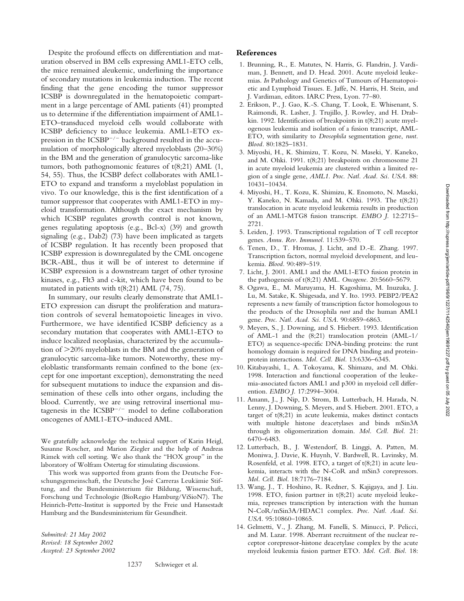Despite the profound effects on differentiation and maturation observed in BM cells expressing AML1-ETO cells, the mice remained aleukemic, underlining the importance of secondary mutations in leukemia induction. The recent finding that the gene encoding the tumor suppressor ICSBP is downregulated in the hematopoietic compartment in a large percentage of AML patients (41) prompted us to determine if the differentiation impairment of AML1- ETO–transduced myeloid cells would collaborate with ICSBP deficiency to induce leukemia. AML1-ETO expression in the  $ICSBP^{-/-}$  background resulted in the accumulation of morphologically altered myeloblasts (20–30%) in the BM and the generation of granulocytic sarcoma-like tumors, both pathognomonic features of t(8;21) AML (1, 54, 55). Thus, the ICSBP defect collaborates with AML1- ETO to expand and transform a myeloblast population in vivo. To our knowledge, this is the first identification of a tumor suppressor that cooperates with AML1-ETO in myeloid transformation. Although the exact mechanism by which ICSBP regulates growth control is not known, genes regulating apoptosis (e.g., Bcl-x) (39) and growth signaling (e.g., Dab2) (73) have been implicated as targets of ICSBP regulation. It has recently been proposed that ICSBP expression is downregulated by the CML oncogene BCR-ABL, thus it will be of interest to determine if ICSBP expression is a downstream target of other tyrosine kinases, e.g., Flt3 and c-kit, which have been found to be mutated in patients with t(8;21) AML (74, 75).

In summary, our results clearly demonstrate that AML1- ETO expression can disrupt the proliferation and maturation controls of several hematopoietic lineages in vivo. Furthermore, we have identified ICSBP deficiency as a secondary mutation that cooperates with AML1-ETO to induce localized neoplasias, characterized by the accumulation of  $>$ 20% myeloblasts in the BM and the generation of granulocytic sarcoma-like tumors. Noteworthy, these myeloblastic transformants remain confined to the bone (except for one important exception), demonstrating the need for subsequent mutations to induce the expansion and dissemination of these cells into other organs, including the blood. Currently, we are using retroviral insertional mutagenesis in the  $ICSBP^{-/-}$  model to define collaboration oncogenes of AML1-ETO–induced AML.

We gratefully acknowledge the technical support of Karin Heigl, Susanne Roscher, and Marion Ziegler and the help of Andreas Rimek with cell sorting. We also thank the "HOX group" in the laboratory of Wolfram Ostertag for stimulating discussions.

This work was supported from grants from the Deutsche Forschungsgemeinschaft, the Deutsche José Carreras Leukämie Stiftung, and the Bundesministerium für Bildung, Wissenschaft, Forschung und Technologie (BioRegio Hamburg/ViSioN7). The Heinrich-Pette-Institut is supported by the Freie und Hansestadt Hamburg and the Bundesministerium für Gesundheit.

*Submitted: 21 May 2002 Revised: 18 September 2002 Accepted: 23 September 2002*

## **References**

- 1. Brunning, R., E. Matutes, N. Harris, G. Flandrin, J. Vardiman, J. Bennett, and D. Head. 2001. Acute myeloid leukemias. *In* Pathology and Genetics of Tumours of Haematopoietic and Lymphoid Tissues. E. Jaffe, N. Harris, H. Stein, and J. Vardiman, editors. IARC Press, Lyon. 77–80.
- 2. Erikson, P., J. Gao, K.-S. Chang, T. Look, E. Whisenant, S. Raimondi, R. Lasher, J. Trujillo, J. Rowley, and H. Drabkin. 1992. Identification of breakpoints in t(8;21) acute myelogenous leukemia and isolation of a fusion transcript, AML-ETO, with similarity to *Drosophila* segmentation gene, *runt. Blood.* 80:1825–1831.
- 3. Miyoshi, H., K. Shimizu, T. Kozu, N. Maseki, Y. Kaneko, and M. Ohki. 1991. t(8;21) breakpoints on chromosome 21 in acute myeloid leukemia are clustered within a limited region of a single gene, *AML1. Proc. Natl. Acad. Sci. USA.* 88: 10431–10434.
- 4. Miyoshi, H., T. Kozu, K. Shimizu, K. Enomoto, N. Maseki, Y. Kaneko, N. Kamada, and M. Ohki. 1993. The t(8;21) translocation in acute myeloid leukemia results in production of an AML1-MTG8 fusion transcript. *EMBO J.* 12:2715– 2721.
- 5. Leiden, J. 1993. Transcriptional regulation of T cell receptor genes. *Annu. Rev. Immunol.* 11:539–570.
- 6. Tenen, D., T. Hromas, J. Licht, and D.-E. Zhang. 1997. Transcription factors, normal myeloid development, and leukemia. *Blood.* 90:489–519.
- 7. Licht, J. 2001. AML1 and the AML1-ETO fusion protein in the pathogenesis of t(8;21) AML. *Oncogene.* 20:5660–5679.
- 8. Ogawa, E., M. Maruyama, H. Kagoshima, M. Inuzuka, J. Lu, M. Satake, K. Shigesada, and Y. Ito. 1993. PEBP2/PEA2 represents a new family of transcription factor homologous to the products of the Drosophila *runt* and the human AML1 gene. *Proc. Natl. Acad. Sci. USA.* 90:6859–6863.
- 9. Meyers, S., J. Downing, and S. Hiebert. 1993. Identification of AML-1 and the (8;21) translocation protein (AML-1/ ETO) as sequence-specific DNA-binding proteins: the runt homology domain is required for DNA binding and proteinprotein interactions. *Mol. Cell. Biol.* 13:6336–6345.
- 10. Kitabayashi, I., A. Tokoyama, K. Shimazu, and M. Ohki. 1998. Interaction and functional cooperation of the leukemia-associated factors AML1 and p300 in myeloid cell differention. *EMBO J.* 17:2994–3004.
- 11. Amann, J., J. Nip, D. Strom, B. Lutterbach, H. Harada, N. Lenny, J. Downing, S. Meyers, and S. Hiebert. 2001. ETO, a target of t(8;21) in acute leukemia, makes distinct contacts with multiple histone deacetylases and binds mSin3A through its oligomerization domain. *Mol. Cell. Biol.* 21: 6470–6483.
- 12. Lutterbach, B., J. Westendorf, B. Linggi, A. Patten, M. Moniwa, J. Davie, K. Huynh, V. Bardwell, R. Lavinsky, M. Rosenfeld, et al. 1998. ETO, a target of t(8;21) in acute leukemia, interacts with the N-CoR and mSin3 corepressors. *Mol. Cell. Biol.* 18:7176–7184.
- 13. Wang, J., T. Hoshino, R. Redner, S. Kajigaya, and J. Liu. 1998. ETO, fusion partner in t(8;21) acute myeloid leukemia, represses transcription by interaction with the human N-CoR/mSin3A/HDAC1 complex. *Proc. Natl. Acad. Sci. USA.* 95:10860–10865.
- 14. Gelmetti, V., J. Zhang, M. Fanelli, S. Minucci, P. Pelicci, and M. Lazar. 1998. Aberrant recruitment of the nuclear receptor corepressor-histone deacetylase complex by the acute myeloid leukemia fusion partner ETO. *Mol. Cell. Biol.* 18: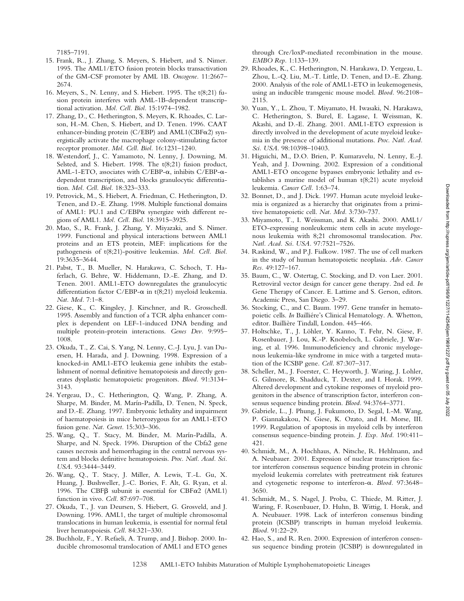- 15. Frank, R., J. Zhang, S. Meyers, S. Hiebert, and S. Nimer. 1995. The AML1/ETO fusion protein blocks transactivation of the GM-CSF promoter by AML 1B. *Oncogene.* 11:2667– 2674.
- 16. Meyers, S., N. Lenny, and S. Hiebert. 1995. The t(8;21) fusion protein interferes with AML-1B-dependent transcriptional activation. *Mol. Cell. Biol.* 15:1974–1982.
- 17. Zhang, D., C. Hetherington, S. Meyers, K. Rhoades, C. Larson, H.-M. Chen, S. Hiebert, and D. Tenen. 1996. CAAT enhancer-binding protein (C/EBP) and  $AML1(CBF<sub>\alpha</sub>2)$  synergistically activate the macrophage colony-stimulating factor receptor promoter. *Mol. Cell. Biol.* 16:1231–1240.
- 18. Westendorf, J., C. Yamamoto, N. Lenny, J. Downing, M. Selsted, and S. Hiebert. 1998. The t(8;21) fusion product, AML-1-ETO, associates with C/EBP- $\alpha$ , inhibits C/EBP- $\alpha$ dependent transcription, and blocks granulocytic differentiation. *Mol. Cell. Biol.* 18:323–333.
- 19. Petrovick, M., S. Hiebert, A. Friedman, C. Hetherington, D. Tenen, and D.-E. Zhang. 1998. Multiple functional domains of AML1: PU.1 and  $C/EBP\alpha$  synergize with different regions of AML1. *Mol. Cell. Biol.* 18:3915–3925.
- 20. Mao, S., R. Frank, J. Zhang, Y. Miyazaki, and S. Nimer. 1999. Functional and physical interactions between AML1 proteins and an ETS protein, MEF: implications for the pathogenesis of t(8;21)-positive leukemias. *Mol. Cell. Biol.* 19:3635–3644.
- 21. Pabst, T., B. Mueller, N. Harakawa, C. Schoch, T. Haferlach, G. Behre, W. Hiddemann, D.-E. Zhang, and D. Tenen. 2001. AML1-ETO downregulates the granulocytic differentiation factor C/EBP- $\alpha$  in t(8;21) myeloid leukemia. *Nat. Med.* 7:1–8.
- 22. Giese, K., C. Kingsley, J. Kirschner, and R. Grosschedl. 1995. Assembly and function of a TCR alpha enhancer complex is dependent on LEF-1-induced DNA bending and multiple protein-protein interactions. *Genes Dev.* 9:995– 1008.
- 23. Okuda, T., Z. Cai, S. Yang, N. Lenny, C.-J. Lyu, J. van Duersen, H. Harada, and J. Downing. 1998. Expression of a knocked-in AML1-ETO leukemia gene inhibits the establishment of normal definitive hematopoiesis and directly generates dysplastic hematopoietic progenitors. *Blood.* 91:3134– 3143.
- 24. Yergeau, D., C. Hetherington, Q. Wang, P. Zhang, A. Sharpe, M. Binder, M. Marín-Padilla, D. Tenen, N. Speck, and D.-E. Zhang. 1997. Embryonic lethality and impairment of haematopoiesis in mice heterozygous for an AML1-ETO fusion gene. *Nat. Genet.* 15:303–306.
- 25. Wang, Q., T. Stacy, M. Binder, M. Marín-Padilla, A. Sharpe, and N. Speck. 1996. Disruption of the Cbfa2 gene causes necrosis and hemorrhaging in the central nervous system and blocks definitive hematopoiesis. *Proc. Natl. Acad. Sci. USA.* 93:3444–3449.
- 26. Wang, Q., T. Stacy, J. Miller, A. Lewis, T.-L. Gu, X. Huang, J. Bushweller, J.-C. Bories, F. Alt, G. Ryan, et al. 1996. The CBF $\beta$  subunit is essential for CBF $\alpha$ 2 (AML1) function in vivo. *Cell.* 87:697–708.
- 27. Okuda, T., J. van Deursen, S. Hiebert, G. Grosveld, and J. Downing. 1996. AML1, the target of multiple chromosomal translocations in human leukemia, is essential for normal fetal liver hematopoiesis. *Cell.* 84:321–330.
- 28. Buchholz, F., Y. Refaeli, A. Trump, and J. Bishop. 2000. Inducible chromosomal translocation of AML1 and ETO genes

through Cre/loxP-mediated recombination in the mouse. *EMBO Rep.* 1:133–139.

- 29. Rhoades, K., C. Hetherington, N. Harakawa, D. Yergeau, L. Zhou, L.-Q. Liu, M.-T. Little, D. Tenen, and D.-E. Zhang. 2000. Analysis of the role of AML1-ETO in leukemogenesis, using an inducible transgenic mouse model. *Blood.* 96:2108– 2115.
- 30. Yuan, Y., L. Zhou, T. Miyamato, H. Iwasaki, N. Harakawa, C. Hetherington, S. Burel, E. Lagasse, I. Weissman, K. Akashi, and D.-E. Zhang. 2001. AML1-ETO expression is directly involved in the development of acute myeloid leukemia in the presence of additional mutations. *Proc. Natl. Acad. Sci. USA.* 98:10398–10403.
- 31. Higuichi, M., D.O. Brien, P. Kumaravelu, N. Lenny, E.-J. Yeah, and J. Downing. 2002. Expression of a conditional AML1-ETO oncogene bypasses embryonic lethality and establishes a murine model of human t(8;21) acute myeloid leukemia. *Cancer Cell.* 1:63–74.
- 32. Bonnet, D., and J. Dick. 1997. Human acute myeloid leukemia is organized as a hierarchy that originates from a primitive hematopoietic cell. *Nat. Med.* 3:730–737.
- 33. Miyamoto, T., I. Weissman, and K. Akashi. 2000. AML1/ ETO-expressing nonleukemic stem cells in acute myelogenous leukemia with 8;21 chromosomal translocation. *Proc. Natl. Acad. Sci. USA.* 97:7521–7526.
- 34. Raskind, W., and P.J. Fialkow. 1987. The use of cell markers in the study of human hematopoietic neoplasia. *Adv. Cancer Res.* 49:127–167.
- 35. Baum, C., W. Ostertag, C. Stocking, and D. von Laer. 2001. Retroviral vector design for cancer gene therapy. 2nd ed. *In* Gene Therapy of Cancer. E. Lattime and S. Gerson, editors. Academic Press, San Diego. 3–29.
- 36. Stocking, C., and C. Baum. 1997. Gene transfer in hematopoietic cells. *In* Bailliére's Clinical Hematology. A. Whetton, editor. Baillière Tindall, London. 445–466.
- 37. Holtschke, T., J. Löhler, Y. Kanno, T. Fehr, N. Giese, F. Rosenbauer, J. Lou, K.-P. Knobeloch, L. Gabriele, J. Waring, et al. 1996. Immunodeficiency and chronic myelogenous leukemia-like syndrome in mice with a targeted mutation of the ICSBP gene. *Cell.* 87:307–317.
- 38. Scheller, M., J. Foerster, C. Heyworth, J. Waring, J. Lohler, G. Gilmore, R. Shadduck, T. Dexter, and I. Horak. 1999. Altered development and cytokine responses of myeloid progenitors in the absence of transcription factor, interferon consensus sequence binding protein. *Blood.* 94:3764–3771.
- 39. Gabriele, L., J. Phung, J. Fukumoto, D. Segal, I.-M. Wang, P. Giannakakou, N. Giese, K. Ozato, and H. Morse, III. 1999. Regulation of apoptosis in myeloid cells by interferon consensus sequence-binding protein. *J. Exp. Med.* 190:411– 421.
- 40. Schmidt, M., A. Hochhaus, A. Nitsche, R. Hehlmann, and A. Neubauer. 2001. Expression of nuclear transcription factor interferon consensus sequence binding protein in chronic myeloid leukemia correlates with pretreatment risk features and cytogenetic response to interferon- $\alpha$ . *Blood.* 97:3648-3650.
- 41. Schmidt, M., S. Nagel, J. Proba, C. Thiede, M. Ritter, J. Waring, F. Rosenbauer, D. Huhn, B. Wittig, I. Horak, and A. Neubauer. 1998. Lack of interferon consensus binding protein (ICSBP) transcripts in human myeloid leukemia. *Blood.* 91:22–29.
- 42. Hao, S., and R. Ren. 2000. Expression of interferon consensus sequence binding protein (ICSBP) is downregulated in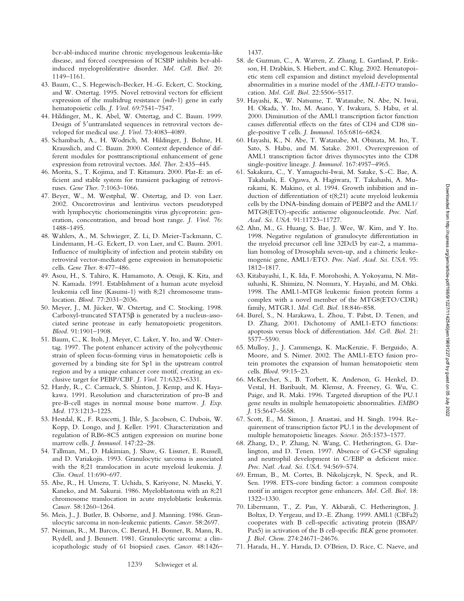bcr-abl-induced murine chronic myelogenous leukemia-like disease, and forced coexpression of ICSBP inhibits bcr-ablinduced myeloproliferative disorder. *Mol. Cell. Biol.* 20: 1149–1161.

- 43. Baum, C., S. Hegewisch-Becker, H.-G. Eckert, C. Stocking, and W. Ostertag. 1995. Novel retroviral vectors for efficient expression of the multidrug resistance (*mdr*-1) gene in early hematopoietic cells. *J. Virol.* 69:7541–7547.
- 44. Hildinger, M., K. Abel, W. Ostertag, and C. Baum. 1999. Design of 5'untranslated sequences in retroviral vectors developed for medical use. *J. Virol.* 73:4083–4089.
- 45. Schambach, A., H. Wodrich, M. Hildinger, J. Bohne, H. Krausslich, and C. Baum. 2000. Context dependence of different modules for posttranscriptional enhancement of gene expression from retroviral vectors. *Mol. Ther.* 2:435–445.
- 46. Morita, S., T. Kojima, and T. Kitamura. 2000. Plat-E: an efficient and stable system for transient packaging of retroviruses. *Gene Ther.* 7:1063–1066.
- 47. Beyer, W., M. Westphal, W. Ostertag, and D. von Laer. 2002. Oncoretrovirus and lentivirus vectors pseudotyped with lymphocytic choriomeningitis virus glycoprotein: generation, concentration, and broad host range. *J. Virol.* 76: 1488–1495.
- 48. Wahlers, A., M. Schwieger, Z. Li, D. Meier-Tackmann, C. Lindemann, H.-G. Eckert, D. von Laer, and C. Baum. 2001. Influence of multiplicity of infection and protein stability on retroviral vector-mediated gene expression in hematopoietic cells. *Gene Ther.* 8:477–486.
- 49. Asou, H., S. Tahiro, K. Hamamoto, A. Otsuji, K. Kita, and N. Kamada. 1991. Establishment of a human acute myeloid leukemia cell line (Kasumi-1) with 8;21 chromosome translocation. *Blood.* 77:2031–2036.
- 50. Meyer, J., M. Jücker, W. Ostertag, and C. Stocking. 1998. Carboxyl-truncated  $STAT5\beta$  is generated by a nucleus-associated serine protease in early hematopoietic progenitors. *Blood.* 91:1901–1908.
- 51. Baum, C., K. Itoh, J. Meyer, C. Laker, Y. Ito, and W. Ostertag. 1997. The potent enhancer activity of the polycythemic strain of spleen focus-forming virus in hematopoietic cells is governed by a binding site for Sp1 in the upstream control region and by a unique enhancer core motif, creating an exclusive target for PEBP/CBF. *J. Virol.* 71:6323–6331.
- 52. Hardy, R., C. Carmack, S. Shinton, J. Kemp, and K. Hayakawa. 1991. Resolution and characterization of pro-B and pre-B-cell stages in normal mouse bone marrow. *J. Exp. Med.* 173:1213–1225.
- 53. Hestdal, K., F. Ruscetti, J. Ihle, S. Jacobsen, C. Dubois, W. Kopp, D. Longo, and J. Keller. 1991. Characterization and regulation of RB6-8C5 antigen expression on murine bone marrow cells. *J. Immunol.* 147:22–28.
- 54. Tallman, M., D. Hakimian, J. Shaw, G. Lissner, E. Russell, and D. Variakojis. 1993. Granulocytic sarcoma is associated with the 8;21 translocation in acute myeloid leukemia. *J. Clin. Oncol.* 11:690–697.
- 55. Abe, R., H. Umezu, T. Uchida, S. Kariyone, N. Maseki, Y. Kaneko, and M. Sakurai. 1986. Myeloblastoma with an 8;21 chromosome translocation in acute myeloblastic leukemia. *Cancer.* 58:1260–1264.
- 56. Meis, J., J. Butler, B. Osborne, and J. Manning. 1986. Granulocytic sarcoma in non-leukemic patients. *Cancer.* 58:2697.
- 57. Neiman, R., M. Barcos, C. Berard, H. Bonner, R. Mann, R. Rydell, and J. Bennett. 1981. Granulocytic sarcoma: a clinicopathologic study of 61 biopsied cases. *Cancer.* 48:1426–

1437.

- 58. de Guzman, C., A. Warren, Z. Zhang, L. Gartland, P. Erikson, H. Drabkin, S. Hiebert, and C. Klug. 2002. Hematopoietic stem cell expansion and distinct myeloid developmental abnormalities in a murine model of the *AML1-ETO* translocation. *Mol. Cell. Biol.* 22:5506–5517.
- 59. Hayashi, K., W. Natsume, T. Watanabe, N. Abe, N. Iwai, H. Okada, Y. Ito, M. Asano, Y. Iwakura, S. Habu, et al. 2000. Diminution of the AML1 transcription factor function causes differential effects on the fates of CD4 and CD8 single-positive T cells. *J. Immunol.* 165:6816–6824.
- 60. Hayashi, K., N. Abe, T. Watanabe, M. Obinata, M. Ito, T. Sato, S. Habu, and M. Satake. 2001. Overexpression of AML1 transcription factor drives thymocytes into the CD8 single-positive lineage. *J. Immunol.* 167:4957–4965.
- 61. Sakakura, C., Y. Yamaguchi-Iwai, M. Satake, S.-C. Bae, A. Takahashi, E. Ogawa, A. Hagiwara, T. Takahashi, A. Murakami, K. Makino, et al. 1994. Growth inhibition and induction of differentiation of t(8;21) acute myeloid leukemia cells by the DNA-binding domain of PEBP2 and the AML1/ MTG8(ETO)-specific antisense oligonucleotide. *Proc. Natl. Acad. Sci. USA.* 91:11723–11727.
- 62. Ahn, M., G. Huang, S. Bae, J. Wee, W. Kim, and Y. Ito. 1998. Negative regulation of granulocyte differentiation in the myeloid precursor cell line 32Dcl3 by ear-2, a mammalian homolog of Drosophila seven-up, and a chimeric leukemogenic gene, AML1/ETO. *Proc. Natl. Acad. Sci. USA.* 95: 1812–1817.
- 63. Kitabayashi, I., K. Ida, F. Morohoshi, A. Yokoyama, N. Mitsuhashi, K. Shimizu, N. Nomura, Y. Hayashi, and M. Ohki. 1998. The AML1-MTG8 leukemic fusion protein forms a complex with a novel member of the MTG8(ETO/CDR) family, MTGR1. *Mol. Cell. Biol.* 18:846–858.
- 64. Burel, S., N. Harakawa, L. Zhou, T. Pabst, D. Tenen, and D. Zhang. 2001. Dichotomy of AML1-ETO functions: apoptosis versus block of differentiation. *Mol. Cell. Biol.* 21: 5577–5590.
- 65. Mulloy, J., J. Cammenga, K. MacKenzie, F. Berguido, A. Moore, and S. Nimer. 2002. The AML1-ETO fusion protein promotes the expansion of human hematopoietic stem cells. *Blood.* 99:15–23.
- 66. McKercher, S., B. Torbett, K. Anderson, G. Henkel, D. Vestal, H. Baribault, M. Klemsz, A. Freeney, G. Wu, C. Paige, and R. Maki. 1996. Targeted disruption of the PU.1 gene results in multiple hematopoietic abnormalities. *EMBO J.* 15:5647–5658.
- 67. Scott, E., M. Simon, J. Anastasi, and H. Singh. 1994. Requirement of transcription factor PU.1 in the development of multiple hematopoietic lineages. *Science.* 265:1573–1577.
- 68. Zhang, D., P. Zhang, N. Wang, C. Hetherington, G. Darlington, and D. Tenen. 1997. Absence of G-CSF signaling and neutrophil development in C/EBP  $\alpha$  deficient mice. *Proc. Natl. Acad. Sci. USA.* 94:569–574.
- 69. Erman, B., M. Cortes, B. Nikolajczyk, N. Speck, and R. Sen. 1998. ETS-core binding factor: a common composite motif in antigen receptor gene enhancers. *Mol. Cell. Biol.* 18: 1322–1330.
- 70. Libermann, T., Z. Pan, Y. Akbarali, C. Hetherington, J. Boltax, D. Yergeau, and D.-E. Zhang. 1999. AML1 (CBFa2) cooperates with B cell-specific activating protein (BSAP/ Pax5) in activation of the B cell-specific *BLK* gene promoter. *J. Biol. Chem.* 274:24671–24676.
- 71. Harada, H., Y. Harada, D. O'Brien, D. Rice, C. Naeve, and